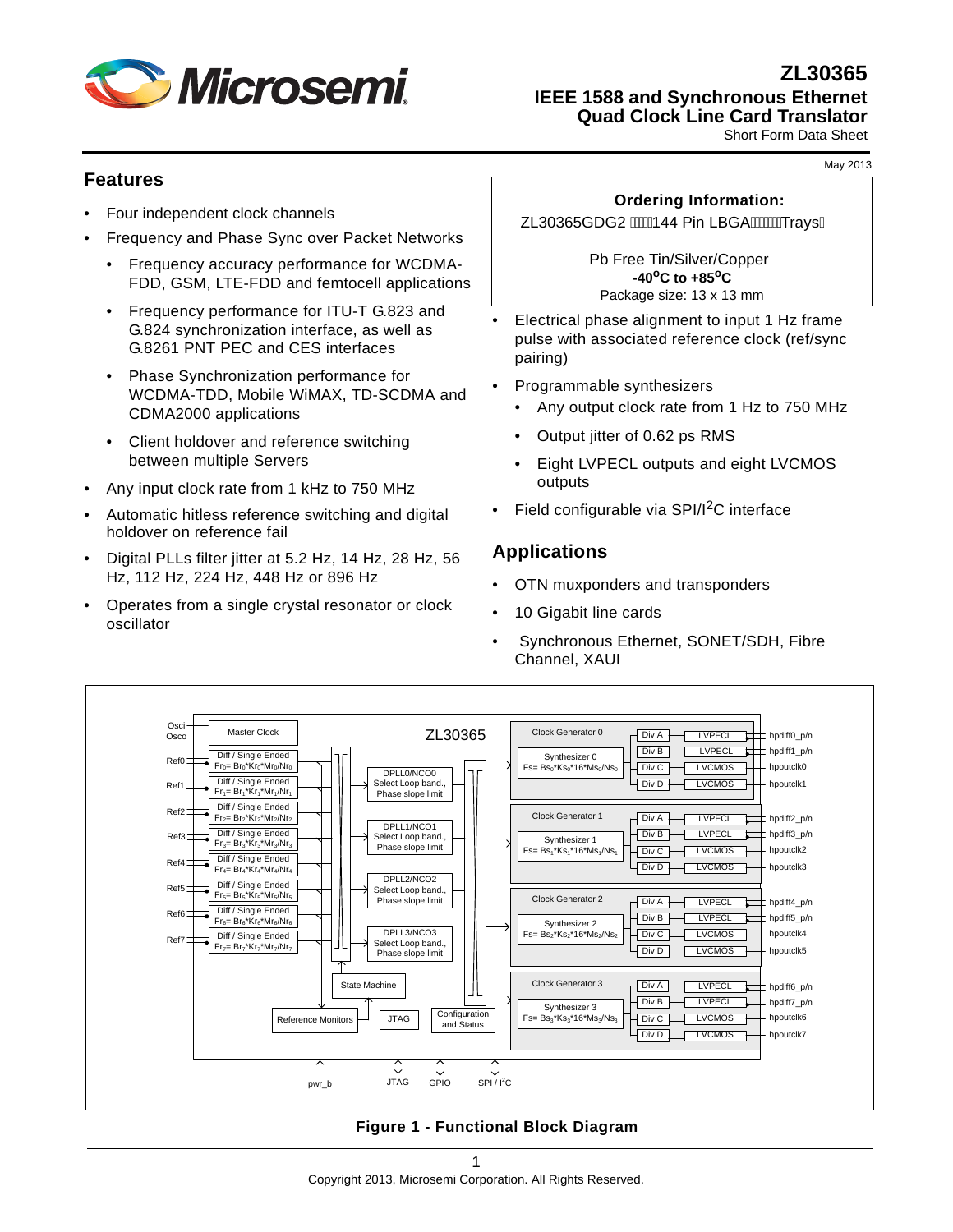

**ZL30365 IEEE 1588 and Synchronous Ethernet**

**Quad Clock Line Card Translator**

Short Form Data Sheet

# **Features**

- Four independent clock channels
- Frequency and Phase Sync over Packet Networks
	- Frequency accuracy performance for WCDMA-FDD, GSM, LTE-FDD and femtocell applications
	- Frequency performance for ITU-T G.823 and G.824 synchronization interface, as well as G.8261 PNT PEC and CES interfaces
	- Phase Synchronization performance for WCDMA-TDD, Mobile WiMAX, TD-SCDMA and CDMA2000 applications
	- Client holdover and reference switching between multiple Servers
- Any input clock rate from 1 kHz to 750 MHz
- Automatic hitless reference switching and digital holdover on reference fail
- Digital PLLs filter jitter at 5.2 Hz, 14 Hz, 28 Hz, 56 Hz, 112 Hz, 224 Hz, 448 Hz or 896 Hz
- Operates from a single crystal resonator or clock oscillator

# **Ordering Information:**

ZL30365GDG2 *N*WA44 Pin LBGA WWATraysA

Pb Free Tin/Silver/Copper **-40oC to +85oC** Package size: 13 x 13 mm

- Electrical phase alignment to input 1 Hz frame pulse with associated reference clock (ref/sync pairing)
- Programmable synthesizers
	- Any output clock rate from 1 Hz to 750 MHz
	- Output jitter of 0.62 ps RMS
	- Eight LVPECL outputs and eight LVCMOS outputs
- Field configurable via SPI/I<sup>2</sup>C interface

# **Applications**

- OTN muxponders and transponders
- 10 Gigabit line cards
- Synchronous Ethernet, SONET/SDH, Fibre Channel, XAUI



**Figure 1 - Functional Block Diagram**

May 2013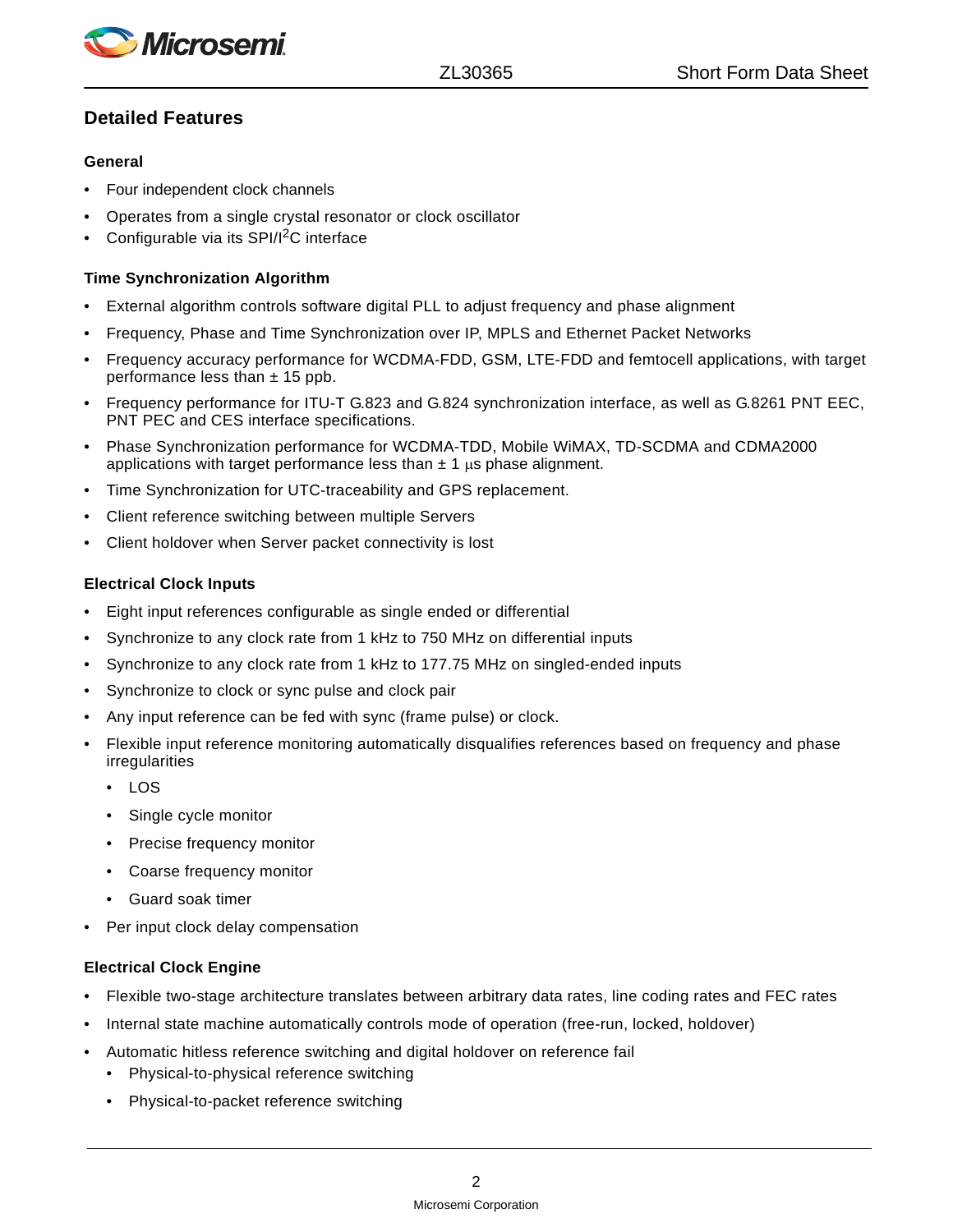*Microsemi* 

# **Detailed Features**

# **General**

- Four independent clock channels
- Operates from a single crystal resonator or clock oscillator
- Configurable via its SPI/I<sup>2</sup>C interface

## **Time Synchronization Algorithm**

- External algorithm controls software digital PLL to adjust frequency and phase alignment
- Frequency, Phase and Time Synchronization over IP, MPLS and Ethernet Packet Networks
- Frequency accuracy performance for WCDMA-FDD, GSM, LTE-FDD and femtocell applications, with target performance less than  $\pm$  15 ppb.
- Frequency performance for ITU-T G.823 and G.824 synchronization interface, as well as G.8261 PNT EEC, PNT PEC and CES interface specifications.
- Phase Synchronization performance for WCDMA-TDD, Mobile WiMAX, TD-SCDMA and CDMA2000 applications with target performance less than  $\pm$  1  $\mu$ s phase alignment.
- Time Synchronization for UTC-traceability and GPS replacement.
- Client reference switching between multiple Servers
- Client holdover when Server packet connectivity is lost

#### **Electrical Clock Inputs**

- Eight input references configurable as single ended or differential
- Synchronize to any clock rate from 1 kHz to 750 MHz on differential inputs
- Synchronize to any clock rate from 1 kHz to 177.75 MHz on singled-ended inputs
- Synchronize to clock or sync pulse and clock pair
- Any input reference can be fed with sync (frame pulse) or clock.
- Flexible input reference monitoring automatically disqualifies references based on frequency and phase irregularities
	- LOS
	- Single cycle monitor
	- Precise frequency monitor
	- Coarse frequency monitor
	- Guard soak timer
- Per input clock delay compensation

#### **Electrical Clock Engine**

- Flexible two-stage architecture translates between arbitrary data rates, line coding rates and FEC rates
- Internal state machine automatically controls mode of operation (free-run, locked, holdover)
- Automatic hitless reference switching and digital holdover on reference fail
	- Physical-to-physical reference switching
	- Physical-to-packet reference switching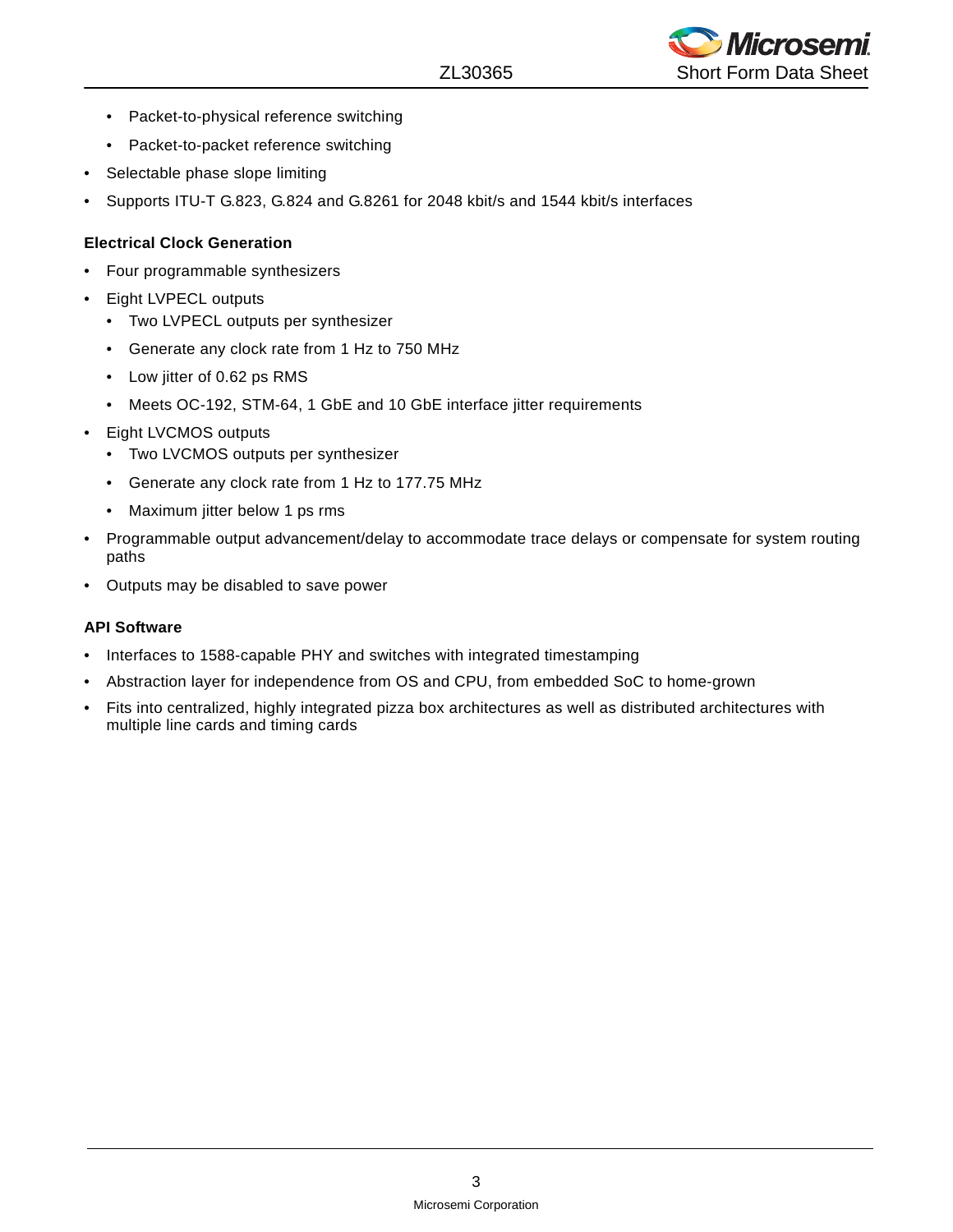

- Packet-to-physical reference switching
- Packet-to-packet reference switching
- Selectable phase slope limiting
- Supports ITU-T G.823, G.824 and G.8261 for 2048 kbit/s and 1544 kbit/s interfaces

## **Electrical Clock Generation**

- Four programmable synthesizers
- Eight LVPECL outputs
	- Two LVPECL outputs per synthesizer
	- Generate any clock rate from 1 Hz to 750 MHz
	- Low jitter of 0.62 ps RMS
	- Meets OC-192, STM-64, 1 GbE and 10 GbE interface jitter requirements
- Eight LVCMOS outputs
	- Two LVCMOS outputs per synthesizer
	- Generate any clock rate from 1 Hz to 177.75 MHz
	- Maximum jitter below 1 ps rms
- Programmable output advancement/delay to accommodate trace delays or compensate for system routing paths
- Outputs may be disabled to save power

#### **API Software**

- Interfaces to 1588-capable PHY and switches with integrated timestamping
- Abstraction layer for independence from OS and CPU, from embedded SoC to home-grown
- Fits into centralized, highly integrated pizza box architectures as well as distributed architectures with multiple line cards and timing cards